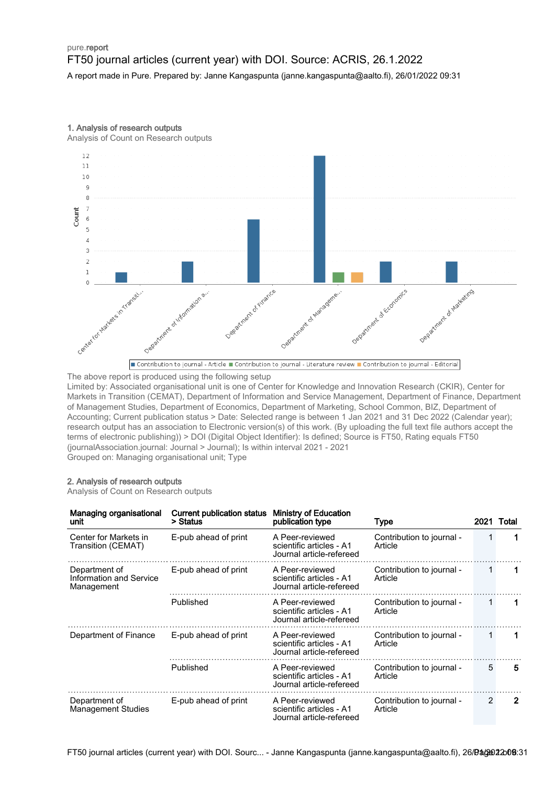## pure.report FT50 journal articles (current year) with DOI. Source: ACRIS, 26.1.2022 A report made in Pure. Prepared by: Janne Kangaspunta (janne.kangaspunta@aalto.fi), 26/01/2022 09:31

1. Analysis of research outputs

Analysis of Count on Research outputs



The above report is produced using the following setup

Limited by: Associated organisational unit is one of Center for Knowledge and Innovation Research (CKIR), Center for Markets in Transition (CEMAT), Department of Information and Service Management, Department of Finance, Department of Management Studies, Department of Economics, Department of Marketing, School Common, BIZ, Department of Accounting; Current publication status > Date: Selected range is between 1 Jan 2021 and 31 Dec 2022 (Calendar year); research output has an association to Electronic version(s) of this work. (By uploading the full text file authors accept the terms of electronic publishing)) > DOI (Digital Object Identifier): Is defined; Source is FT50, Rating equals FT50 (journalAssociation.journal: Journal > Journal); Is within interval 2021 - 2021 Grouped on: Managing organisational unit; Type

### 2. Analysis of research outputs

Analysis of Count on Research outputs

| Managing organisational<br>unit                               | <b>Current publication status</b><br>> Status | <b>Ministry of Education</b><br>publication type                        | <b>Type</b>                          |   | 2021 Total |
|---------------------------------------------------------------|-----------------------------------------------|-------------------------------------------------------------------------|--------------------------------------|---|------------|
| Center for Markets in<br>Transition (CEMAT)                   | E-pub ahead of print                          | A Peer-reviewed<br>scientific articles - A1<br>Journal article-refereed | Contribution to journal -<br>Article |   |            |
| Department of<br><b>Information and Service</b><br>Management | E-pub ahead of print                          | A Peer-reviewed<br>scientific articles - A1<br>Journal article-refereed | Contribution to journal -<br>Article |   |            |
|                                                               | Published                                     | A Peer-reviewed<br>scientific articles - A1<br>Journal article-refereed | Contribution to journal -<br>Article |   |            |
| Department of Finance                                         | E-pub ahead of print                          | A Peer-reviewed<br>scientific articles - A1<br>Journal article-refereed | Contribution to journal -<br>Article |   |            |
|                                                               | Published                                     | A Peer-reviewed<br>scientific articles - A1<br>Journal article-refereed | Contribution to journal -<br>Article | 5 | 5          |
| Department of<br><b>Management Studies</b>                    | E-pub ahead of print                          | A Peer-reviewed<br>scientific articles - A1<br>Journal article-refereed | Contribution to journal -<br>Article | 2 | 2          |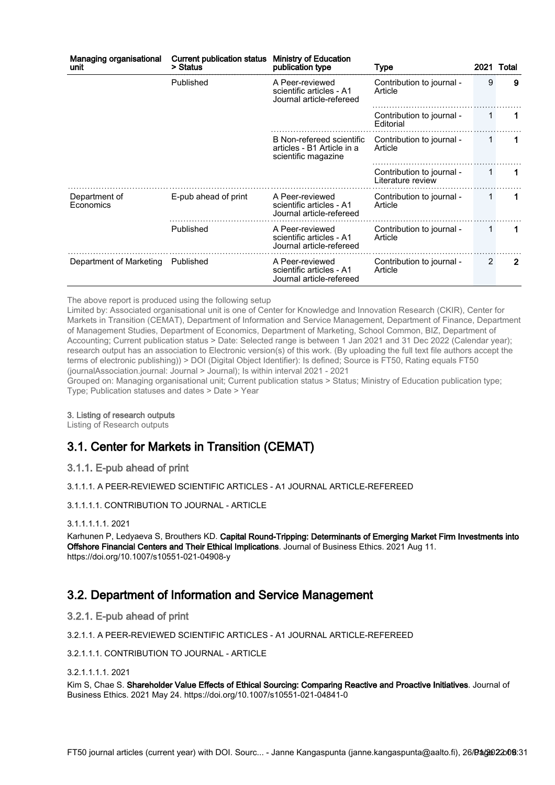| Managing organisational<br>unit | <b>Current publication status</b><br>> Status | <b>Ministry of Education</b><br>publication type                               | Type                                           |               | 2021 Total     |
|---------------------------------|-----------------------------------------------|--------------------------------------------------------------------------------|------------------------------------------------|---------------|----------------|
|                                 | Published                                     | A Peer-reviewed<br>scientific articles - A1<br>Journal article-refereed        | Contribution to journal -<br>Article           | 9             | 9              |
|                                 |                                               |                                                                                | Contribution to journal -<br>Editorial         |               |                |
|                                 |                                               | B Non-refereed scientific<br>articles - B1 Article in a<br>scientific magazine | Contribution to journal -<br>Article           |               |                |
|                                 |                                               |                                                                                | Contribution to journal -<br>Literature review | 1             |                |
| Department of<br>Economics      | E-pub ahead of print                          | A Peer-reviewed<br>scientific articles - A1<br>Journal article-refereed        | Contribution to journal -<br>Article           |               |                |
|                                 | Published                                     | A Peer-reviewed<br>scientific articles - A1<br>Journal article-refereed        | Contribution to journal -<br>Article           | 1             |                |
| Department of Marketing         | Published                                     | A Peer-reviewed<br>scientific articles - A1<br>Journal article-refereed        | Contribution to journal -<br>Article           | $\mathcal{P}$ | $\overline{2}$ |

The above report is produced using the following setup

Limited by: Associated organisational unit is one of Center for Knowledge and Innovation Research (CKIR), Center for Markets in Transition (CEMAT), Department of Information and Service Management, Department of Finance, Department of Management Studies, Department of Economics, Department of Marketing, School Common, BIZ, Department of Accounting; Current publication status > Date: Selected range is between 1 Jan 2021 and 31 Dec 2022 (Calendar year); research output has an association to Electronic version(s) of this work. (By uploading the full text file authors accept the terms of electronic publishing)) > DOI (Digital Object Identifier): Is defined; Source is FT50, Rating equals FT50 (journalAssociation.journal: Journal > Journal); Is within interval 2021 - 2021

Grouped on: Managing organisational unit; Current publication status > Status; Ministry of Education publication type; Type; Publication statuses and dates > Date > Year

#### 3. Listing of research outputs

Listing of Research outputs

# 3.1. Center for Markets in Transition (CEMAT)

## 3.1.1. E-pub ahead of print

3.1.1.1. A PEER-REVIEWED SCIENTIFIC ARTICLES - A1 JOURNAL ARTICLE-REFEREED

### 3.1.1.1.1. CONTRIBUTION TO JOURNAL - ARTICLE

### 3.1.1.1.1.1. 2021

Karhunen P, Ledyaeva S, Brouthers KD. Capital Round-Tripping: Determinants of Emerging Market Firm Investments into Offshore Financial Centers and Their Ethical Implications. Journal of Business Ethics. 2021 Aug 11. https://doi.org/10.1007/s10551-021-04908-y

# 3.2. Department of Information and Service Management

3.2.1. E-pub ahead of print

3.2.1.1. A PEER-REVIEWED SCIENTIFIC ARTICLES - A1 JOURNAL ARTICLE-REFEREED

3.2.1.1.1. CONTRIBUTION TO JOURNAL - ARTICLE

3.2.1.1.1.1. 2021

Kim S, Chae S. Shareholder Value Effects of Ethical Sourcing: Comparing Reactive and Proactive Initiatives. Journal of Business Ethics. 2021 May 24. https://doi.org/10.1007/s10551-021-04841-0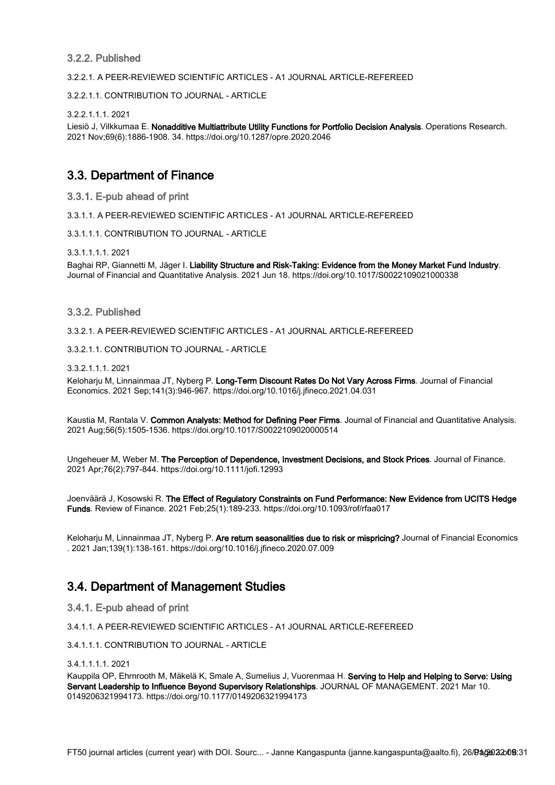## 3.2.2. Published

3.2.2.1. A PEER-REVIEWED SCIENTIFIC ARTICLES - A1 JOURNAL ARTICLE-REFEREED

3.2.2.1.1. CONTRIBUTION TO JOURNAL - ARTICLE

3.2.2.1.1.1. 2021

Liesiö J, Vilkkumaa E. Nonadditive Multiattribute Utility Functions for Portfolio Decision Analysis. Operations Research. 2021 Nov;69(6):1886-1908. 34. https://doi.org/10.1287/opre.2020.2046

# 3.3. Department of Finance

3.3.1. E-pub ahead of print

3.3.1.1. A PEER-REVIEWED SCIENTIFIC ARTICLES - A1 JOURNAL ARTICLE-REFEREED

3.3.1.1.1. CONTRIBUTION TO JOURNAL - ARTICLE

3.3.1.1.1.1. 2021

Baghai RP, Giannetti M, Jäger I. Liability Structure and Risk-Taking: Evidence from the Money Market Fund Industry. Journal of Financial and Quantitative Analysis. 2021 Jun 18. https://doi.org/10.1017/S0022109021000338

### 3.3.2. Published

3.3.2.1. A PEER-REVIEWED SCIENTIFIC ARTICLES - A1 JOURNAL ARTICLE-REFEREED

3.3.2.1.1. CONTRIBUTION TO JOURNAL - ARTICLE

3.3.2.1.1.1. 2021

Keloharju M, Linnainmaa JT, Nyberg P. Long-Term Discount Rates Do Not Vary Across Firms. Journal of Financial Economics. 2021 Sep;141(3):946-967. https://doi.org/10.1016/j.jfineco.2021.04.031

Kaustia M, Rantala V. Common Analysts: Method for Defining Peer Firms. Journal of Financial and Quantitative Analysis. 2021 Aug;56(5):1505-1536. https://doi.org/10.1017/S0022109020000514

Ungeheuer M, Weber M. The Perception of Dependence, Investment Decisions, and Stock Prices. Journal of Finance. 2021 Apr;76(2):797-844. https://doi.org/10.1111/jofi.12993

Joenväärä J, Kosowski R. The Effect of Regulatory Constraints on Fund Performance: New Evidence from UCITS Hedge Funds. Review of Finance. 2021 Feb;25(1):189-233. https://doi.org/10.1093/rof/rfaa017

Keloharju M, Linnainmaa JT, Nyberg P. Are return seasonalities due to risk or mispricing? Journal of Financial Economics . 2021 Jan;139(1):138-161. https://doi.org/10.1016/j.jfineco.2020.07.009

## 3.4. Department of Management Studies

3.4.1. E-pub ahead of print

3.4.1.1. A PEER-REVIEWED SCIENTIFIC ARTICLES - A1 JOURNAL ARTICLE-REFEREED

3.4.1.1.1. CONTRIBUTION TO JOURNAL - ARTICLE

3.4.1.1.1.1. 2021

Kauppila OP, Ehrnrooth M, Mäkelä K, Smale A, Sumelius J, Vuorenmaa H. Serving to Help and Helping to Serve: Using Servant Leadership to Influence Beyond Supervisory Relationships. JOURNAL OF MANAGEMENT. 2021 Mar 10. 0149206321994173. https://doi.org/10.1177/0149206321994173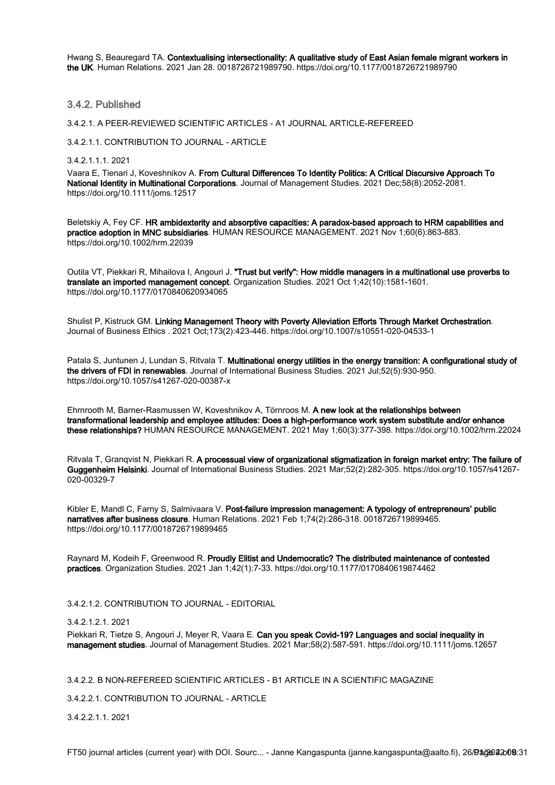Hwang S, Beauregard TA. Contextualising intersectionality: A qualitative study of East Asian female migrant workers in the UK. Human Relations. 2021 Jan 28. 0018726721989790. https://doi.org/10.1177/0018726721989790

### 3.4.2. Published

3.4.2.1. A PEER-REVIEWED SCIENTIFIC ARTICLES - A1 JOURNAL ARTICLE-REFEREED

3.4.2.1.1. CONTRIBUTION TO JOURNAL - ARTICLE

3.4.2.1.1.1. 2021

Vaara E, Tienari J, Koveshnikov A. From Cultural Differences To Identity Politics: A Critical Discursive Approach To National Identity in Multinational Corporations. Journal of Management Studies. 2021 Dec;58(8):2052-2081. https://doi.org/10.1111/joms.12517

Beletskiy A, Fey CF. HR ambidexterity and absorptive capacities: A paradox-based approach to HRM capabilities and practice adoption in MNC subsidiaries. HUMAN RESOURCE MANAGEMENT. 2021 Nov 1;60(6):863-883. https://doi.org/10.1002/hrm.22039

Outila VT, Piekkari R, Mihailova I, Angouri J. "Trust but verify": How middle managers in a multinational use proverbs to translate an imported management concept. Organization Studies. 2021 Oct 1;42(10):1581-1601. https://doi.org/10.1177/0170840620934065

Shulist P, Kistruck GM. Linking Management Theory with Poverty Alleviation Efforts Through Market Orchestration. Journal of Business Ethics . 2021 Oct;173(2):423-446. https://doi.org/10.1007/s10551-020-04533-1

Patala S, Juntunen J, Lundan S, Ritvala T. Multinational energy utilities in the energy transition: A configurational study of the drivers of FDI in renewables. Journal of International Business Studies. 2021 Jul;52(5):930-950. https://doi.org/10.1057/s41267-020-00387-x

Ehrnrooth M, Barner-Rasmussen W, Koveshnikov A, Törnroos M. A new look at the relationships between transformational leadership and employee attitudes: Does a high-performance work system substitute and/or enhance these relationships? HUMAN RESOURCE MANAGEMENT. 2021 May 1;60(3):377-398. https://doi.org/10.1002/hrm.22024

Ritvala T, Granqvist N, Piekkari R. A processual view of organizational stigmatization in foreign market entry: The failure of Guggenheim Helsinki. Journal of International Business Studies. 2021 Mar;52(2):282-305. https://doi.org/10.1057/s41267- 020-00329-7

Kibler E, Mandl C, Farny S, Salmivaara V. Post-failure impression management: A typology of entrepreneurs' public narratives after business closure. Human Relations. 2021 Feb 1;74(2):286-318. 0018726719899465. https://doi.org/10.1177/0018726719899465

Raynard M, Kodeih F, Greenwood R. Proudly Elitist and Undemocratic? The distributed maintenance of contested practices. Organization Studies. 2021 Jan 1;42(1):7-33. https://doi.org/10.1177/0170840619874462

3.4.2.1.2. CONTRIBUTION TO JOURNAL - EDITORIAL

#### 3.4.2.1.2.1. 2021

Piekkari R, Tietze S, Angouri J, Meyer R, Vaara E. Can you speak Covid-19? Languages and social inequality in management studies. Journal of Management Studies. 2021 Mar;58(2):587-591. https://doi.org/10.1111/joms.12657

3.4.2.2. B NON-REFEREED SCIENTIFIC ARTICLES - B1 ARTICLE IN A SCIENTIFIC MAGAZINE

3.4.2.2.1. CONTRIBUTION TO JOURNAL - ARTICLE

3.4.2.2.1.1. 2021

FT50 journal articles (current year) with DOI. Sourc... - Janne Kangaspunta (janne.kangaspunta@aalto.fi), 26/**Bå(@22**20**0**8:31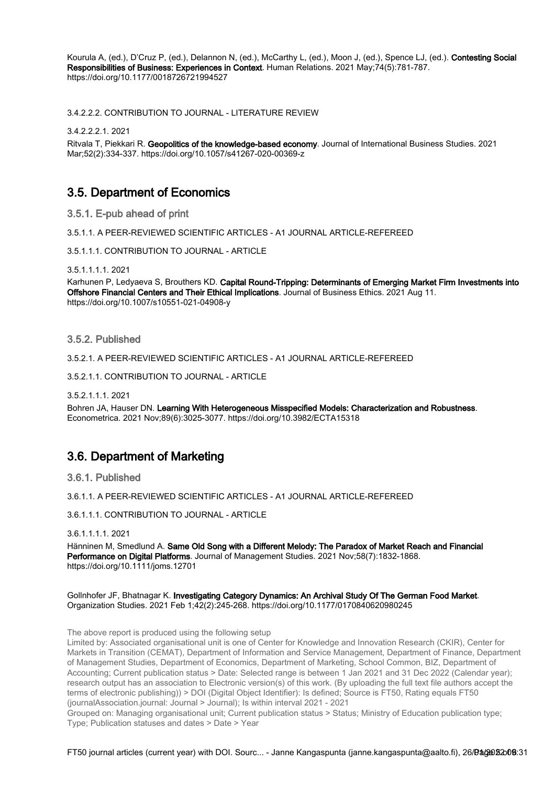Kourula A, (ed.), D'Cruz P, (ed.), Delannon N, (ed.), McCarthy L, (ed.), Moon J, (ed.), Spence LJ, (ed.). Contesting Social Responsibilities of Business: Experiences in Context. Human Relations. 2021 May;74(5):781-787. https://doi.org/10.1177/0018726721994527

3.4.2.2.2. CONTRIBUTION TO JOURNAL - LITERATURE REVIEW

3.4.2.2.2.1. 2021

Ritvala T, Piekkari R. Geopolitics of the knowledge-based economy. Journal of International Business Studies. 2021 Mar;52(2):334-337. https://doi.org/10.1057/s41267-020-00369-z

## 3.5. Department of Economics

3.5.1. E-pub ahead of print

3.5.1.1. A PEER-REVIEWED SCIENTIFIC ARTICLES - A1 JOURNAL ARTICLE-REFEREED

3.5.1.1.1. CONTRIBUTION TO JOURNAL - ARTICLE

3.5.1.1.1.1. 2021

Karhunen P, Ledyaeva S, Brouthers KD. Capital Round-Tripping: Determinants of Emerging Market Firm Investments into Offshore Financial Centers and Their Ethical Implications. Journal of Business Ethics. 2021 Aug 11. https://doi.org/10.1007/s10551-021-04908-y

3.5.2. Published

3.5.2.1. A PEER-REVIEWED SCIENTIFIC ARTICLES - A1 JOURNAL ARTICLE-REFEREED

3.5.2.1.1. CONTRIBUTION TO JOURNAL - ARTICLE

3.5.2.1.1.1. 2021

Bohren JA, Hauser DN. Learning With Heterogeneous Misspecified Models: Characterization and Robustness. Econometrica. 2021 Nov;89(6):3025-3077. https://doi.org/10.3982/ECTA15318

## 3.6. Department of Marketing

3.6.1. Published

3.6.1.1. A PEER-REVIEWED SCIENTIFIC ARTICLES - A1 JOURNAL ARTICLE-REFEREED

3.6.1.1.1. CONTRIBUTION TO JOURNAL - ARTICLE

3.6.1.1.1.1. 2021

Hänninen M, Smedlund A. Same Old Song with a Different Melody: The Paradox of Market Reach and Financial Performance on Digital Platforms. Journal of Management Studies. 2021 Nov;58(7):1832-1868. https://doi.org/10.1111/joms.12701

Gollnhofer JF, Bhatnagar K. Investigating Category Dynamics: An Archival Study Of The German Food Market. Organization Studies. 2021 Feb 1;42(2):245-268. https://doi.org/10.1177/0170840620980245

The above report is produced using the following setup

Limited by: Associated organisational unit is one of Center for Knowledge and Innovation Research (CKIR), Center for Markets in Transition (CEMAT), Department of Information and Service Management, Department of Finance, Department of Management Studies, Department of Economics, Department of Marketing, School Common, BIZ, Department of Accounting; Current publication status > Date: Selected range is between 1 Jan 2021 and 31 Dec 2022 (Calendar year); research output has an association to Electronic version(s) of this work. (By uploading the full text file authors accept the terms of electronic publishing)) > DOI (Digital Object Identifier): Is defined; Source is FT50, Rating equals FT50 (journalAssociation.journal: Journal > Journal); Is within interval 2021 - 2021

Grouped on: Managing organisational unit; Current publication status > Status; Ministry of Education publication type; Type; Publication statuses and dates > Date > Year

FT50 journal articles (current year) with DOI. Sourc... - Janne Kangaspunta (janne.kangaspunta@aalto.fi), 26/**Bå(@92**20**0**9:31